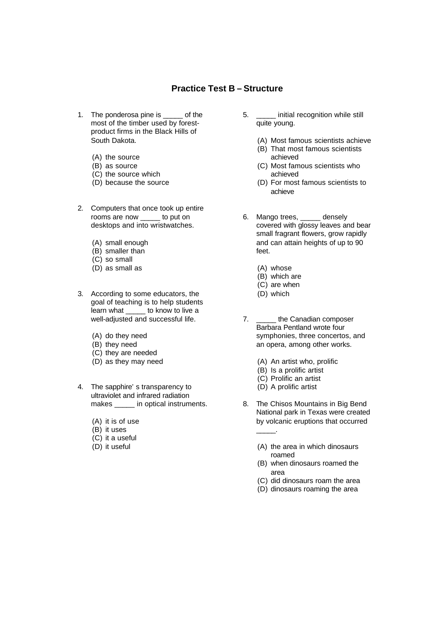## **Practice Test B – Structure**

- 1. The ponderosa pine is \_\_\_\_\_ of the most of the timber used by forestproduct firms in the Black Hills of South Dakota.
	- (A) the source
	- (B) as source
	- (C) the source which
	- (D) because the source
- 2. Computers that once took up entire rooms are now \_\_\_\_\_ to put on desktops and into wristwatches.
	- (A) small enough
	- (B) smaller than
	- (C) so small
	- (D) as small as
- 3. According to some educators, the goal of teaching is to help students learn what \_\_\_\_\_ to know to live a well-adjusted and successful life.
	- (A) do they need
	- (B) they need
	- (C) they are needed
	- (D) as they may need
- 4. The sapphire's transparency to ultraviolet and infrared radiation makes \_\_\_\_\_ in optical instruments.
	- (A) it is of use
	- (B) it uses
	- (C) it a useful
	- (D) it useful
- 5. \_\_\_\_\_ initial recognition while still quite young.
	- (A) Most famous scientists achieve
	- (B) That most famous scientists achieved
	- (C) Most famous scientists who achieved
	- (D) For most famous scientists to achieve
- 6. Mango trees, \_\_\_\_\_ densely covered with glossy leaves and bear small fragrant flowers, grow rapidly and can attain heights of up to 90 feet.
	- (A) whose
	- (B) which are
	- (C) are when
	- (D) which
- 7. \_\_\_\_\_\_ the Canadian composer Barbara Pentland wrote four symphonies, three concertos, and an opera, among other works.
	- (A) An artist who, prolific
	- (B) Is a prolific artist
	- (C) Prolific an artist
	- (D) A prolific artist

\_\_\_\_\_.

- 8. The Chisos Mountains in Big Bend National park in Texas were created by volcanic eruptions that occurred
	- (A) the area in which dinosaurs roamed
	- (B) when dinosaurs roamed the area
	- (C) did dinosaurs roam the area
	- (D) dinosaurs roaming the area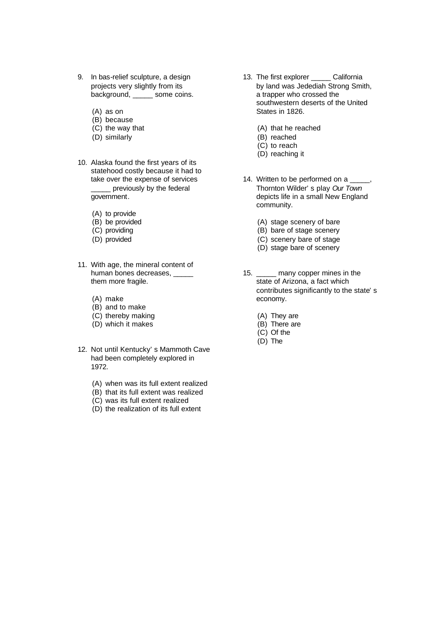- 9. In bas-relief sculpture, a design projects very slightly from its background, \_\_\_\_\_\_\_ some coins.
	- (A) as on
	- (B) because
	- (C) the way that
	- (D) similarly
- 10. Alaska found the first years of its statehood costly because it had to take over the expense of services \_\_\_\_\_ previously by the federal government.
	- (A) to provide
	- (B) be provided
	- (C) providing
	- (D) provided
- 11. With age, the mineral content of human bones decreases, \_\_\_\_\_ them more fragile.
	- (A) make
	- (B) and to make
	- (C) thereby making
	- (D) which it makes
- 12. Not until Kentucky's Mammoth Cave had been completely explored in 1972.
	- (A) when was its full extent realized
	- (B) that its full extent was realized
	- (C) was its full extent realized
	- (D) the realization of its full extent
- 13. The first explorer \_\_\_\_\_ California by land was Jedediah Strong Smith, a trapper who crossed the southwestern deserts of the United States in 1826.
	- (A) that he reached
	- (B) reached
	- (C) to reach
	- (D) reaching it
- 14. Written to be performed on a \_\_\_\_\_, Thornton Wilder's play *Our Town* depicts life in a small New England community.
	- (A) stage scenery of bare
	- (B) bare of stage scenery
	- (C) scenery bare of stage
	- (D) stage bare of scenery
- 15. \_\_\_\_\_ many copper mines in the state of Arizona, a fact which contributes significantly to the state's economy.
	- (A) They are
	- (B) There are
	- (C) Of the
	- (D) The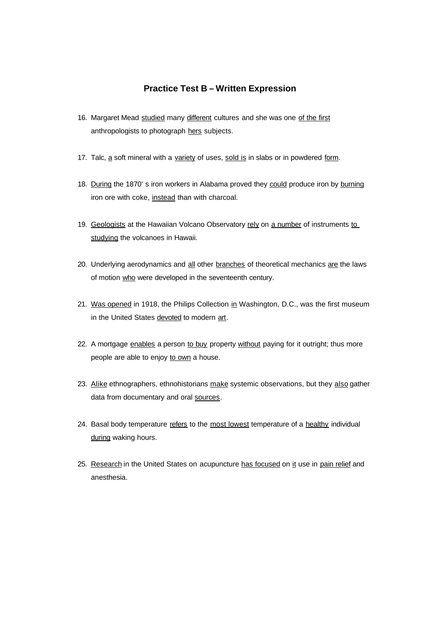## **Practice Test B – Written Expression**

- 16. Margaret Mead studied many different cultures and she was one of the first anthropologists to photograph hers subjects.
- 17. Talc,  $a$  soft mineral with a variety of uses, sold is in slabs or in powdered form.
- 18. During the 1870's iron workers in Alabama proved they could produce iron by burning iron ore with coke, instead than with charcoal.
- 19. Geologists at the Hawaiian Volcano Observatory rely on a number of instruments to studying the volcanoes in Hawaii.
- 20. Underlying aerodynamics and all other branches of theoretical mechanics are the laws of motion who were developed in the seventeenth century.
- 21. Was opened in 1918, the Philips Collection in Washington, D.C., was the first museum in the United States devoted to modern art.
- 22. A mortgage enables a person to buy property without paying for it outright; thus more people are able to enjoy to own a house.
- 23. Alike ethnographers, ethnohistorians make systemic observations, but they also gather data from documentary and oral sources.
- 24. Basal body temperature refers to the most lowest temperature of a healthy individual during waking hours.
- 25. Research in the United States on acupuncture has focused on it use in pain relief and anesthesia.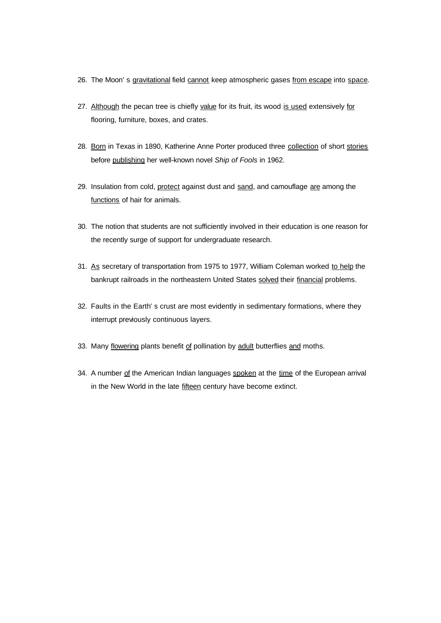- 26. The Moon's gravitational field cannot keep atmospheric gases from escape into space.
- 27. Although the pecan tree is chiefly value for its fruit, its wood is used extensively for flooring, furniture, boxes, and crates.
- 28. Born in Texas in 1890, Katherine Anne Porter produced three collection of short stories before publishing her well-known novel *Ship of Fools* in 1962.
- 29. Insulation from cold, protect against dust and sand, and camouflage are among the functions of hair for animals.
- 30. The notion that students are not sufficiently involved in their education is one reason for the recently surge of support for undergraduate research.
- 31. As secretary of transportation from 1975 to 1977, William Coleman worked to help the bankrupt railroads in the northeastern United States solved their financial problems.
- 32. Faults in the Earth's crust are most evidently in sedimentary formations, where they interrupt previously continuous layers.
- 33. Many flowering plants benefit of pollination by adult butterflies and moths.
- 34. A number of the American Indian languages spoken at the time of the European arrival in the New World in the late fifteen century have become extinct.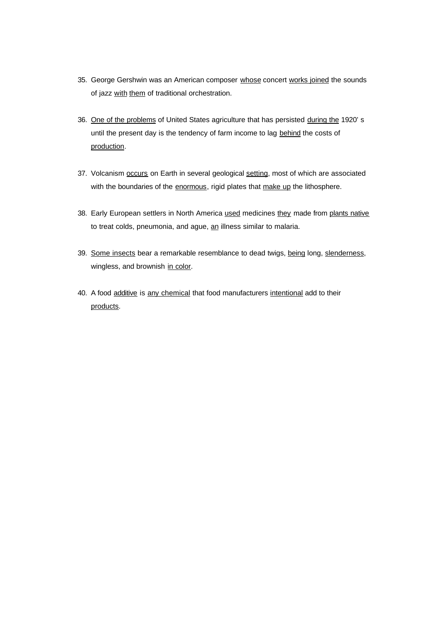- 35. George Gershwin was an American composer whose concert works joined the sounds of jazz with them of traditional orchestration.
- 36. One of the problems of United States agriculture that has persisted during the 1920's until the present day is the tendency of farm income to lag behind the costs of production.
- 37. Volcanism occurs on Earth in several geological setting, most of which are associated with the boundaries of the enormous, rigid plates that make up the lithosphere.
- 38. Early European settlers in North America used medicines they made from plants native to treat colds, pneumonia, and ague, an illness similar to malaria.
- 39. Some insects bear a remarkable resemblance to dead twigs, being long, slenderness, wingless, and brownish in color.
- 40. A food additive is any chemical that food manufacturers intentional add to their products.